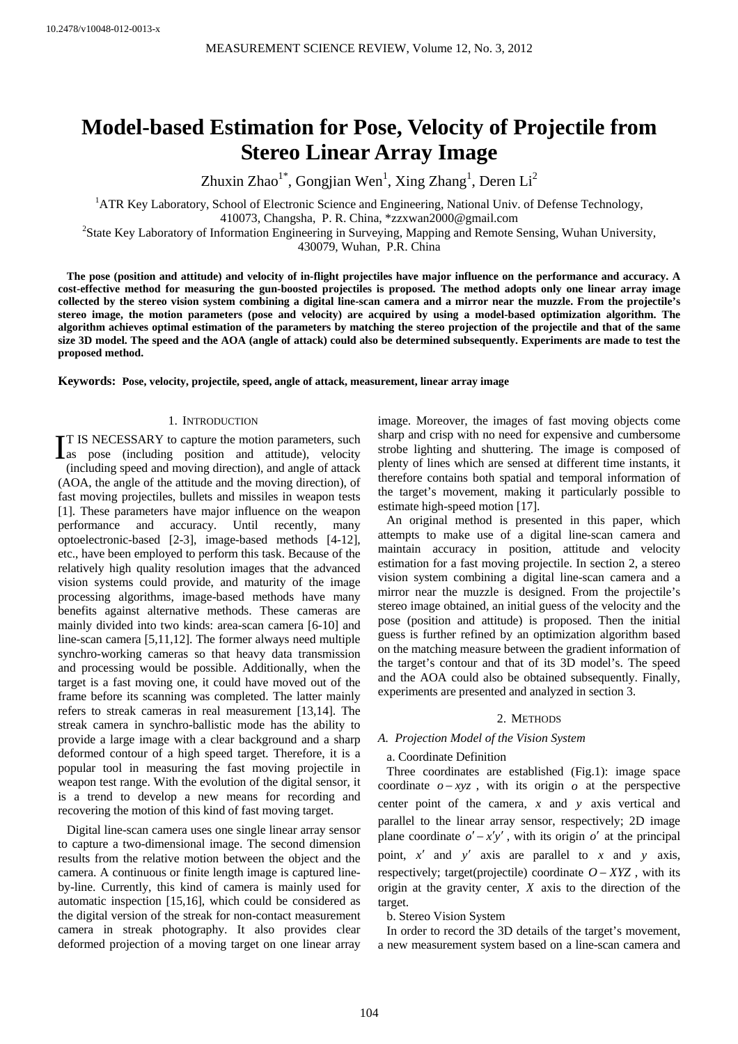# **Model-based Estimation for Pose, Velocity of Projectile from Stereo Linear Array Image**

Zhuxin Zhao<sup>1\*</sup>, Gongjian Wen<sup>1</sup>, Xing Zhang<sup>1</sup>, Deren Li<sup>2</sup>

<sup>1</sup>ATR Key Laboratory, School of Electronic Science and Engineering, National Univ. of Defense Technology, 410073, Changsha, P. R. China, \*zzxwan2000@gmail.com 2

<sup>2</sup>State Key Laboratory of Information Engineering in Surveying, Mapping and Remote Sensing, Wuhan University,

430079, Wuhan, P.R. China

**The pose (position and attitude) and velocity of in-flight projectiles have major influence on the performance and accuracy. A cost-effective method for measuring the gun-boosted projectiles is proposed. The method adopts only one linear array image collected by the stereo vision system combining a digital line-scan camera and a mirror near the muzzle. From the projectile's stereo image, the motion parameters (pose and velocity) are acquired by using a model-based optimization algorithm. The algorithm achieves optimal estimation of the parameters by matching the stereo projection of the projectile and that of the same size 3D model. The speed and the AOA (angle of attack) could also be determined subsequently. Experiments are made to test the proposed method.** 

**Keywords: Pose, velocity, projectile, speed, angle of attack, measurement, linear array image** 

## 1. INTRODUCTION

T IS NECESSARY to capture the motion parameters, such IT IS NECESSARY to capture the motion parameters, such as pose (including position and attitude), velocity (including speed and moving direction), and angle of attack (AOA, the angle of the attitude and the moving direction), of fast moving projectiles, bullets and missiles in weapon tests [1]. These parameters have major influence on the weapon performance and accuracy. Until recently, many optoelectronic-based [2-3], image-based methods [4-12], etc., have been employed to perform this task. Because of the relatively high quality resolution images that the advanced vision systems could provide, and maturity of the image processing algorithms, image-based methods have many benefits against alternative methods. These cameras are mainly divided into two kinds: area-scan camera [6-10] and line-scan camera [5,11,12]. The former always need multiple synchro-working cameras so that heavy data transmission and processing would be possible. Additionally, when the target is a fast moving one, it could have moved out of the frame before its scanning was completed. The latter mainly refers to streak cameras in real measurement [13,14]. The streak camera in synchro-ballistic mode has the ability to provide a large image with a clear background and a sharp deformed contour of a high speed target. Therefore, it is a popular tool in measuring the fast moving projectile in weapon test range. With the evolution of the digital sensor, it is a trend to develop a new means for recording and recovering the motion of this kind of fast moving target.

Digital line-scan camera uses one single linear array sensor to capture a two-dimensional image. The second dimension results from the relative motion between the object and the camera. A continuous or finite length image is captured lineby-line. Currently, this kind of camera is mainly used for automatic inspection [15,16], which could be considered as the digital version of the streak for non-contact measurement camera in streak photography. It also provides clear deformed projection of a moving target on one linear array

image. Moreover, the images of fast moving objects come sharp and crisp with no need for expensive and cumbersome strobe lighting and shuttering. The image is composed of plenty of lines which are sensed at different time instants, it therefore contains both spatial and temporal information of the target's movement, making it particularly possible to estimate high-speed motion [17].

An original method is presented in this paper, which attempts to make use of a digital line-scan camera and maintain accuracy in position, attitude and velocity estimation for a fast moving projectile. In section 2, a stereo vision system combining a digital line-scan camera and a mirror near the muzzle is designed. From the projectile's stereo image obtained, an initial guess of the velocity and the pose (position and attitude) is proposed. Then the initial guess is further refined by an optimization algorithm based on the matching measure between the gradient information of the target's contour and that of its 3D model's. The speed and the AOA could also be obtained subsequently. Finally, experiments are presented and analyzed in section 3.

# 2. METHODS

# *A. Projection Model of the Vision System*

# a. Coordinate Definition

Three coordinates are established (Fig.1): image space coordinate  $o - xyz$ , with its origin  $o$  at the perspective center point of the camera, *x* and *y* axis vertical and parallel to the linear array sensor, respectively; 2D image plane coordinate  $o' - x'y'$ , with its origin  $o'$  at the principal point, *x*′ and *y*′ axis are parallel to *x* and *y* axis, respectively; target(projectile) coordinate  $O - XYZ$ , with its origin at the gravity center, *X* axis to the direction of the target.

b. Stereo Vision System

In order to record the 3D details of the target's movement, a new measurement system based on a line-scan camera and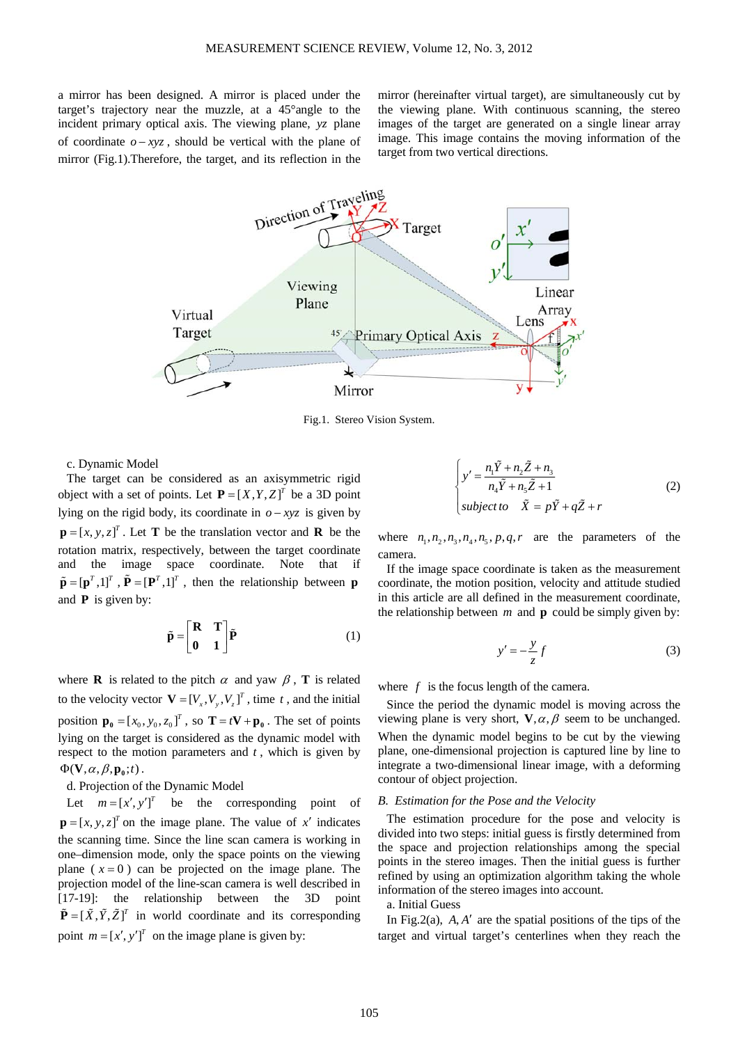a mirror has been designed. A mirror is placed under the target's trajectory near the muzzle, at a 45°angle to the incident primary optical axis. The viewing plane, *yz* plane of coordinate  $o - xyz$ , should be vertical with the plane of mirror (Fig.1).Therefore, the target, and its reflection in the mirror (hereinafter virtual target), are simultaneously cut by the viewing plane. With continuous scanning, the stereo images of the target are generated on a single linear array image. This image contains the moving information of the target from two vertical directions.



Fig.1. Stereo Vision System.

c. Dynamic Model

The target can be considered as an axisymmetric rigid object with a set of points. Let  $P = [X, Y, Z]^T$  be a 3D point lying on the rigid body, its coordinate in  $o - xyz$  is given by  $\mathbf{p} = [x, y, z]^T$ . Let **T** be the translation vector and **R** be the rotation matrix, respectively, between the target coordinate and the image space coordinate. Note that if  $\tilde{\mathbf{p}} = [\mathbf{p}^T, 1]^T$ ,  $\tilde{\mathbf{P}} = [\mathbf{P}^T, 1]^T$ , then the relationship between **p** and **P** is given by:

$$
\tilde{\mathbf{p}} = \begin{bmatrix} \mathbf{R} & \mathbf{T} \\ \mathbf{0} & \mathbf{1} \end{bmatrix} \tilde{\mathbf{P}} \tag{1}
$$

where **R** is related to the pitch  $\alpha$  and yaw  $\beta$ , **T** is related to the velocity vector  $\mathbf{V} = [V_x, V_y, V_z]^T$ , time *t*, and the initial position  $\mathbf{p}_0 = [x_0, y_0, z_0]^T$ , so  $\mathbf{T} = t\mathbf{V} + \mathbf{p}_0$ . The set of points lying on the target is considered as the dynamic model with respect to the motion parameters and *t* , which is given by  $\Phi(\mathbf{V}, \alpha, \beta, \mathbf{p}_0; t)$ .

d. Projection of the Dynamic Model

Let  $m = [x', y']^T$  be the corresponding point of  $\mathbf{p} = [x, y, z]^T$  on the image plane. The value of x' indicates the scanning time. Since the line scan camera is working in one–dimension mode, only the space points on the viewing plane  $(x=0)$  can be projected on the image plane. The projection model of the line-scan camera is well described in [17-19]: the relationship between the 3D point  $\tilde{\mathbf{P}} = [\tilde{X}, \tilde{Y}, \tilde{Z}]^T$  in world coordinate and its corresponding point  $m = [x', y']^T$  on the image plane is given by:

$$
\begin{cases}\ny' = \frac{n_1 \tilde{Y} + n_2 \tilde{Z} + n_3}{n_4 \tilde{Y} + n_5 \tilde{Z} + 1} \\
subject to \n\tilde{X} = p\tilde{Y} + q\tilde{Z} + r\n\end{cases} \tag{2}
$$

where  $n_1, n_2, n_3, n_4, n_5, p, q, r$  are the parameters of the camera.

If the image space coordinate is taken as the measurement coordinate, the motion position, velocity and attitude studied in this article are all defined in the measurement coordinate, the relationship between  $m$  and  $p$  could be simply given by:

$$
y' = -\frac{y}{z}f\tag{3}
$$

where *f* is the focus length of the camera.

Since the period the dynamic model is moving across the viewing plane is very short,  $V, \alpha, \beta$  seem to be unchanged. When the dynamic model begins to be cut by the viewing plane, one-dimensional projection is captured line by line to integrate a two-dimensional linear image, with a deforming contour of object projection.

# *B. Estimation for the Pose and the Velocity*

The estimation procedure for the pose and velocity is divided into two steps: initial guess is firstly determined from the space and projection relationships among the special points in the stereo images. Then the initial guess is further refined by using an optimization algorithm taking the whole information of the stereo images into account.

a. Initial Guess

In Fig.2(a), *A*, *A*′ are the spatial positions of the tips of the target and virtual target's centerlines when they reach the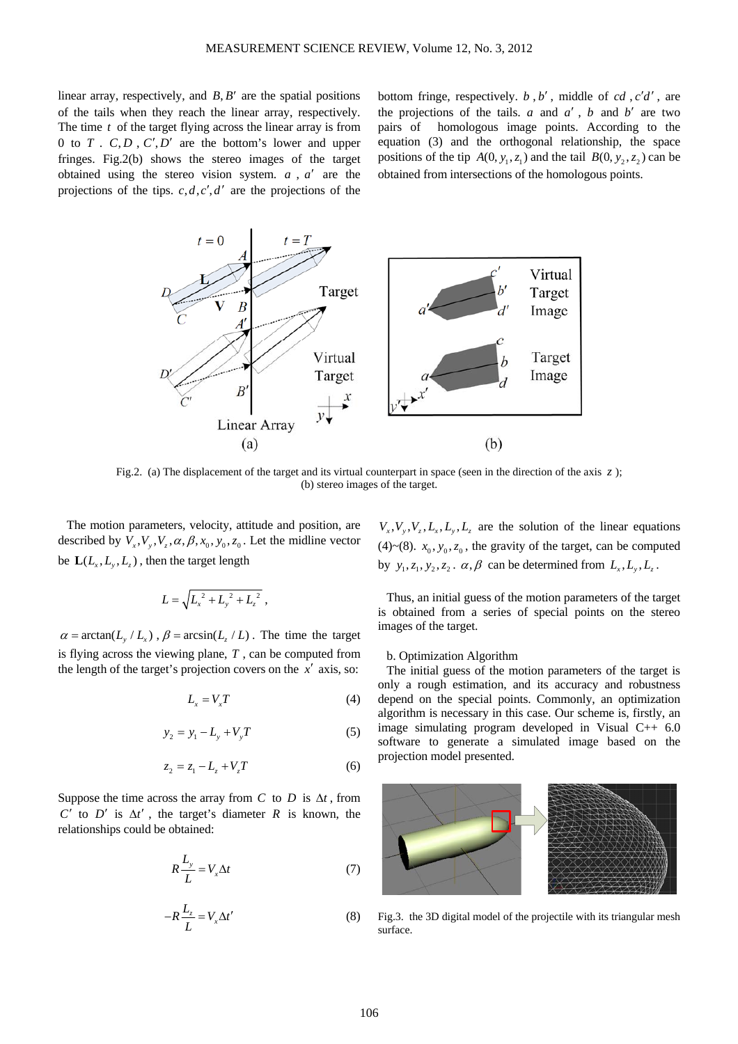linear array, respectively, and  $B, B'$  are the spatial positions of the tails when they reach the linear array, respectively. The time *t* of the target flying across the linear array is from 0 to  $T \cdot C, D \cdot C', D'$  are the bottom's lower and upper fringes. Fig.2(b) shows the stereo images of the target obtained using the stereo vision system. *a* , *a*′ are the projections of the tips.  $c, d, c', d'$  are the projections of the

bottom fringe, respectively. *b* , *b*′ , middle of *cd* , *c d*′ ′ , are the projections of the tails.  $a$  and  $a'$ ,  $b$  and  $b'$  are two pairs of homologous image points. According to the equation (3) and the orthogonal relationship, the space positions of the tip  $A(0, y_1, z_1)$  and the tail  $B(0, y_2, z_2)$  can be obtained from intersections of the homologous points.



Fig.2. (a) The displacement of the target and its virtual counterpart in space (seen in the direction of the axis z); (b) stereo images of the target.

The motion parameters, velocity, attitude and position, are described by  $V_x, V_y, V_z, \alpha, \beta, x_0, y_0, z_0$ . Let the midline vector be  $\mathbf{L}(L_x, L_y, L_z)$ , then the target length

$$
L = \sqrt{L_x^{2} + L_y^{2} + L_z^{2}}
$$

 $\alpha = \arctan(L_v / L_v)$ ,  $\beta = \arcsin(L_v / L)$ . The time the target is flying across the viewing plane, *T* , can be computed from the length of the target's projection covers on the *x*′ axis, so:

$$
L_x = V_x T \tag{4}
$$

$$
y_2 = y_1 - L_y + V_y T \tag{5}
$$

$$
z_2 = z_1 - L_z + V_z T \tag{6}
$$

Suppose the time across the array from *C* to *D* is  $\Delta t$ , from *C*<sup> $\prime$ </sup> to *D*<sup> $\prime$ </sup> is  $\Delta t'$ , the target's diameter *R* is known, the relationships could be obtained:

$$
R\frac{L_y}{L} = V_x \Delta t \tag{7}
$$

$$
-R\frac{L_z}{L} = V_x \Delta t'
$$
 (8)

 $V_{\nu}$ ,  $V_{\nu}$ ,  $V_{\nu}$ ,  $L_{\nu}$ ,  $L_{\nu}$ ,  $L_{\nu}$  are the solution of the linear equations (4)~(8).  $x_0$ ,  $y_0$ ,  $z_0$ , the gravity of the target, can be computed by  $y_1, z_1, y_2, z_2, \alpha, \beta$  can be determined from  $L_x, L_y, L_z$ .

Thus, an initial guess of the motion parameters of the target is obtained from a series of special points on the stereo images of the target.

### b. Optimization Algorithm

The initial guess of the motion parameters of the target is only a rough estimation, and its accuracy and robustness depend on the special points. Commonly, an optimization algorithm is necessary in this case. Our scheme is, firstly, an image simulating program developed in Visual C++ 6.0 software to generate a simulated image based on the projection model presented.



Fig.3. the 3D digital model of the projectile with its triangular mesh surface.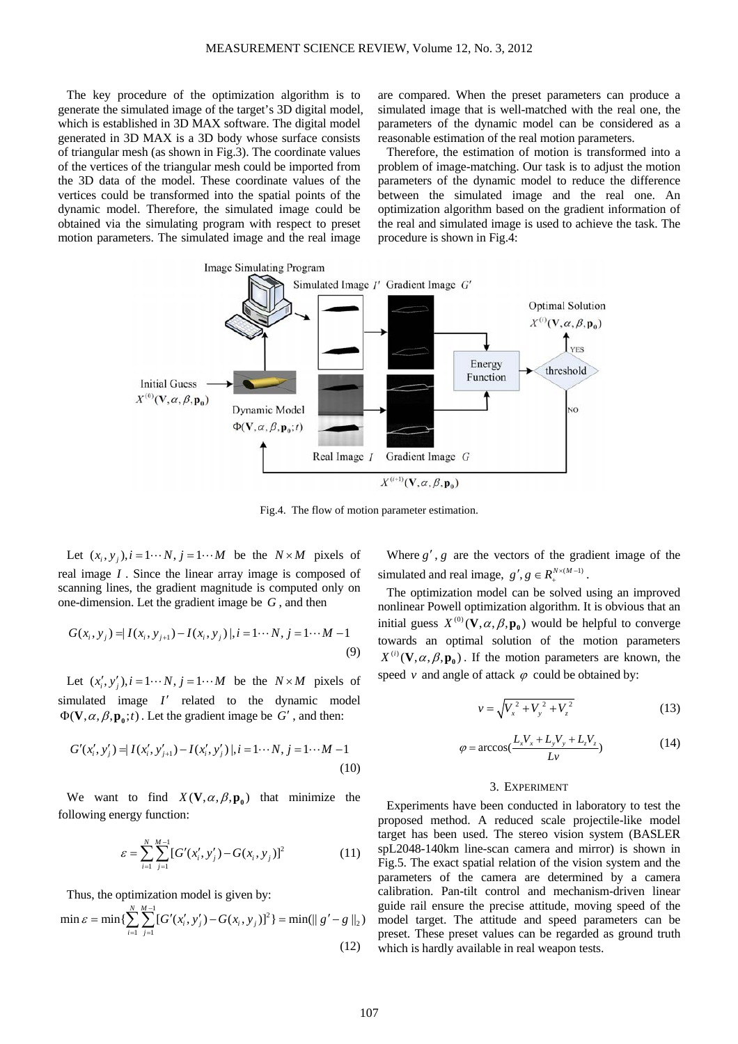The key procedure of the optimization algorithm is to generate the simulated image of the target's 3D digital model, which is established in 3D MAX software. The digital model generated in 3D MAX is a 3D body whose surface consists of triangular mesh (as shown in Fig.3). The coordinate values of the vertices of the triangular mesh could be imported from the 3D data of the model. These coordinate values of the vertices could be transformed into the spatial points of the dynamic model. Therefore, the simulated image could be obtained via the simulating program with respect to preset motion parameters. The simulated image and the real image

are compared. When the preset parameters can produce a simulated image that is well-matched with the real one, the parameters of the dynamic model can be considered as a reasonable estimation of the real motion parameters.

Therefore, the estimation of motion is transformed into a problem of image-matching. Our task is to adjust the motion parameters of the dynamic model to reduce the difference between the simulated image and the real one. An optimization algorithm based on the gradient information of the real and simulated image is used to achieve the task. The procedure is shown in Fig.4:



Fig.4. The flow of motion parameter estimation.

Let  $(x_i, y_i)$ ,  $i = 1 \cdots N$ ,  $j = 1 \cdots M$  be the  $N \times M$  pixels of real image *I* . Since the linear array image is composed of scanning lines, the gradient magnitude is computed only on one-dimension. Let the gradient image be *G* , and then

$$
G(x_i, y_j) = |I(x_i, y_{j+1}) - I(x_i, y_j)|, i = 1 \cdots N, j = 1 \cdots M - 1
$$
\n(9)

Let  $(x'_i, y'_i)$ ,  $i = 1 \cdots N$ ,  $j = 1 \cdots M$  be the  $N \times M$  pixels of simulated image *I*′ related to the dynamic model  $\Phi(\mathbf{V}, \alpha, \beta, \mathbf{p}_0; t)$ . Let the gradient image be *G'*, and then:

$$
G'(x'_i, y'_j) = I(x'_i, y'_{j+1}) - I(x'_i, y'_j) |, i = 1 \cdots N, j = 1 \cdots M - 1
$$
\n(10)

We want to find  $X(V, \alpha, \beta, \mathbf{p}_0)$  that minimize the following energy function:

$$
\varepsilon = \sum_{i=1}^{N} \sum_{j=1}^{M-1} [G'(x'_i, y'_j) - G(x_i, y_j)]^2
$$
 (11)

Thus, the optimization model is given by:

$$
\min \varepsilon = \min \{ \sum_{i=1}^{N} \sum_{j=1}^{M-1} [G'(x'_i, y'_j) - G(x_i, y_j)]^2 \} = \min(||g' - g||_2)
$$
\n(12)

Where  $g'$ ,  $g$  are the vectors of the gradient image of the simulated and real image,  $g', g \in R_{+}^{N \times (M-1)}$ .

The optimization model can be solved using an improved nonlinear Powell optimization algorithm. It is obvious that an initial guess  $X^{(0)}(\mathbf{V}, \alpha, \beta, \mathbf{p}_0)$  would be helpful to converge towards an optimal solution of the motion parameters  $X^{(i)}(\mathbf{V}, \alpha, \beta, \mathbf{p}_0)$ . If the motion parameters are known, the speed  $\nu$  and angle of attack  $\varphi$  could be obtained by:

$$
v = \sqrt{V_x^2 + V_y^2 + V_z^2}
$$
 (13)

$$
\varphi = \arccos(\frac{L_x V_x + L_y V_y + L_z V_z}{L_v})\tag{14}
$$

#### 3. EXPERIMENT

Experiments have been conducted in laboratory to test the proposed method. A reduced scale projectile-like model target has been used. The stereo vision system (BASLER spL2048-140km line-scan camera and mirror) is shown in Fig.5. The exact spatial relation of the vision system and the parameters of the camera are determined by a camera calibration. Pan-tilt control and mechanism-driven linear guide rail ensure the precise attitude, moving speed of the model target. The attitude and speed parameters can be preset. These preset values can be regarded as ground truth which is hardly available in real weapon tests.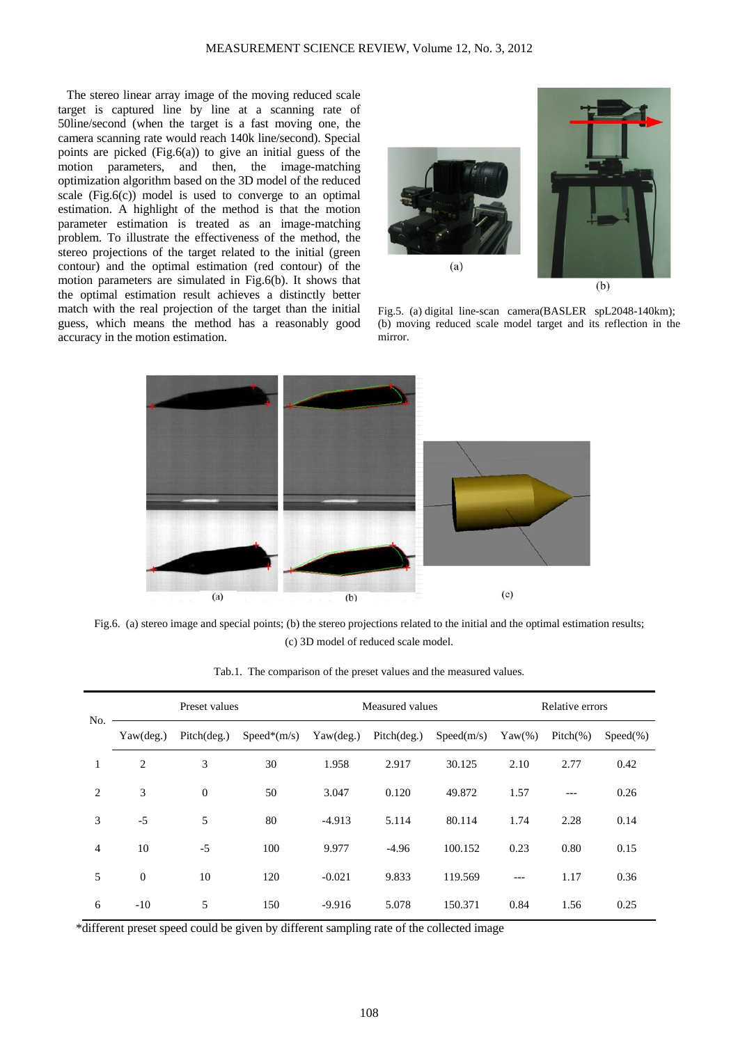The stereo linear array image of the moving reduced scale target is captured line by line at a scanning rate of 50line/second (when the target is a fast moving one, the camera scanning rate would reach 140k line/second). Special points are picked  $(Fig.6(a))$  to give an initial guess of the motion parameters, and then, the image-matching optimization algorithm based on the 3D model of the reduced scale  $(Fig.6(c))$  model is used to converge to an optimal estimation. A highlight of the method is that the motion parameter estimation is treated as an image-matching problem. To illustrate the effectiveness of the method, the stereo projections of the target related to the initial (green contour) and the optimal estimation (red contour) of the motion parameters are simulated in Fig.6(b). It shows that the optimal estimation result achieves a distinctly better match with the real projection of the target than the initial guess, which means the method has a reasonably good accuracy in the motion estimation.



Fig.5. (a) digital line-scan camera(BASLER spL2048-140km); (b) moving reduced scale model target and its reflection in the mirror.



Fig.6. (a) stereo image and special points; (b) the stereo projections related to the initial and the optimal estimation results; (c) 3D model of reduced scale model.

| No.            | Preset values      |              |               | Measured values |             |            | Relative errors |             |             |
|----------------|--------------------|--------------|---------------|-----------------|-------------|------------|-----------------|-------------|-------------|
|                | $Yaw(\text{deg.})$ | Pitch(deg.)  | $Speed*(m/s)$ | Yaw(deg.)       | Pitch(deg.) | Speed(m/s) | $Yaw(\%)$       | $Pitch(\%)$ | $Speed(\%)$ |
| 1              | $\overline{2}$     | 3            | 30            | 1.958           | 2.917       | 30.125     | 2.10            | 2.77        | 0.42        |
| 2              | 3                  | $\mathbf{0}$ | 50            | 3.047           | 0.120       | 49.872     | 1.57            | ---         | 0.26        |
| 3              | $-5$               | 5            | 80            | $-4.913$        | 5.114       | 80.114     | 1.74            | 2.28        | 0.14        |
| $\overline{4}$ | 10                 | $-5$         | 100           | 9.977           | $-4.96$     | 100.152    | 0.23            | 0.80        | 0.15        |
| 5              | $\mathbf{0}$       | 10           | 120           | $-0.021$        | 9.833       | 119.569    | $---$           | 1.17        | 0.36        |
| 6              | $-10$              | 5            | 150           | $-9.916$        | 5.078       | 150.371    | 0.84            | 1.56        | 0.25        |

Tab.1. The comparison of the preset values and the measured values.

\*different preset speed could be given by different sampling rate of the collected image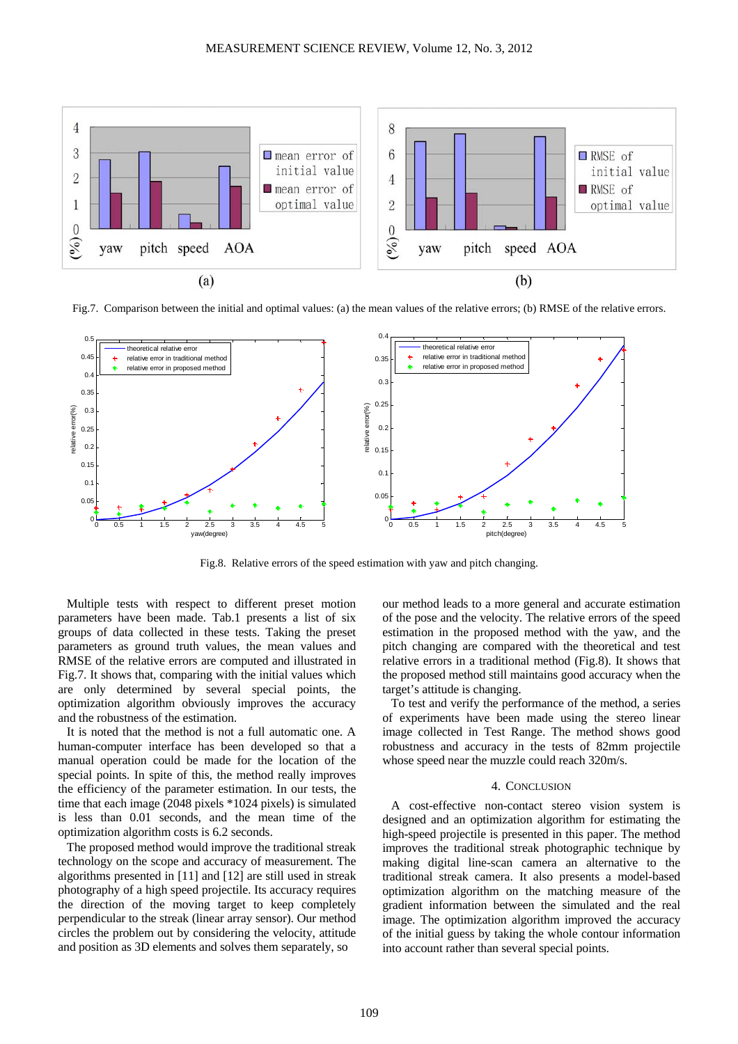

Fig.7. Comparison between the initial and optimal values: (a) the mean values of the relative errors; (b) RMSE of the relative errors.



Fig.8. Relative errors of the speed estimation with yaw and pitch changing.

Multiple tests with respect to different preset motion parameters have been made. Tab.1 presents a list of six groups of data collected in these tests. Taking the preset parameters as ground truth values, the mean values and RMSE of the relative errors are computed and illustrated in Fig.7. It shows that, comparing with the initial values which are only determined by several special points, the optimization algorithm obviously improves the accuracy and the robustness of the estimation.

It is noted that the method is not a full automatic one. A human-computer interface has been developed so that a manual operation could be made for the location of the special points. In spite of this, the method really improves the efficiency of the parameter estimation. In our tests, the time that each image (2048 pixels \*1024 pixels) is simulated is less than 0.01 seconds, and the mean time of the optimization algorithm costs is 6.2 seconds.

The proposed method would improve the traditional streak technology on the scope and accuracy of measurement. The algorithms presented in [11] and [12] are still used in streak photography of a high speed projectile. Its accuracy requires the direction of the moving target to keep completely perpendicular to the streak (linear array sensor). Our method circles the problem out by considering the velocity, attitude and position as 3D elements and solves them separately, so

our method leads to a more general and accurate estimation of the pose and the velocity. The relative errors of the speed estimation in the proposed method with the yaw, and the pitch changing are compared with the theoretical and test relative errors in a traditional method (Fig.8). It shows that the proposed method still maintains good accuracy when the target's attitude is changing.

To test and verify the performance of the method, a series of experiments have been made using the stereo linear image collected in Test Range. The method shows good robustness and accuracy in the tests of 82mm projectile whose speed near the muzzle could reach 320m/s.

#### 4. CONCLUSION

A cost-effective non-contact stereo vision system is designed and an optimization algorithm for estimating the high-speed projectile is presented in this paper. The method improves the traditional streak photographic technique by making digital line-scan camera an alternative to the traditional streak camera. It also presents a model-based optimization algorithm on the matching measure of the gradient information between the simulated and the real image. The optimization algorithm improved the accuracy of the initial guess by taking the whole contour information into account rather than several special points.